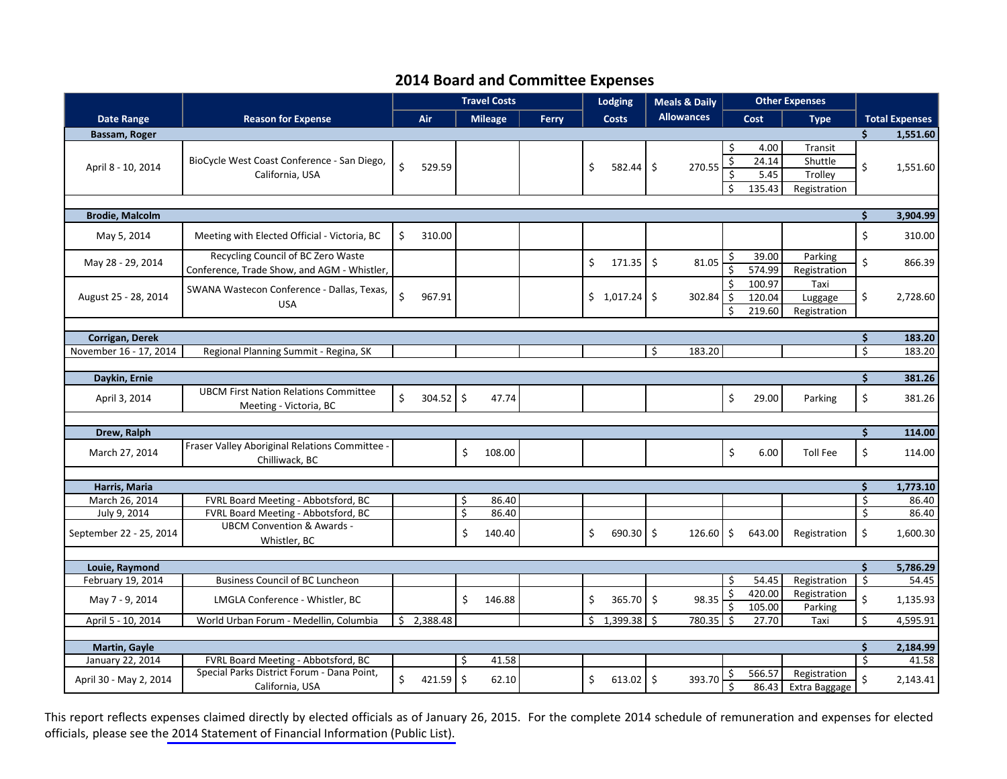## **2014 Board and Committee Expenses**

|                                |                                                                                   | <b>Travel Costs</b> |          |          |                |       |    | Lodging<br><b>Meals &amp; Daily</b> |    |                   | <b>Other Expenses</b>        |                                 |                                               |                              |                       |
|--------------------------------|-----------------------------------------------------------------------------------|---------------------|----------|----------|----------------|-------|----|-------------------------------------|----|-------------------|------------------------------|---------------------------------|-----------------------------------------------|------------------------------|-----------------------|
| Date Range                     | <b>Reason for Expense</b>                                                         |                     | Air      |          | <b>Mileage</b> | Ferry |    | <b>Costs</b>                        |    | <b>Allowances</b> |                              | <b>Cost</b>                     | <b>Type</b>                                   |                              | <b>Total Expenses</b> |
| Bassam, Roger                  |                                                                                   |                     |          |          |                |       |    |                                     |    |                   |                              |                                 |                                               | Ś.                           | 1,551.60              |
| April 8 - 10, 2014             | BioCycle West Coast Conference - San Diego,<br>California, USA                    | $\zeta$             | 529.59   |          |                |       | \$ | $582.44$ \$                         |    | 270.55            | Ŝ.<br>\$<br>Ś<br>Ś.          | 4.00<br>24.14<br>5.45<br>135.43 | Transit<br>Shuttle<br>Trolley<br>Registration | \$                           | 1,551.60              |
|                                |                                                                                   |                     |          |          |                |       |    |                                     |    |                   |                              |                                 |                                               |                              |                       |
| <b>Brodie, Malcolm</b>         |                                                                                   |                     |          |          |                |       |    |                                     |    |                   |                              |                                 |                                               | $\dot{\mathsf{s}}$           | 3,904.99              |
| May 5, 2014                    | Meeting with Elected Official - Victoria, BC                                      | \$                  | 310.00   |          |                |       |    |                                     |    |                   |                              |                                 |                                               | \$                           | 310.00                |
| May 28 - 29, 2014              | Recycling Council of BC Zero Waste<br>Conference, Trade Show, and AGM - Whistler, |                     |          |          |                |       | \$ | $171.35$ \$                         |    | 81.05             | \$<br>\$                     | 39.00<br>574.99                 | Parking<br>Registration                       | \$                           | 866.39                |
| August 25 - 28, 2014           | SWANA Wastecon Conference - Dallas, Texas,<br><b>USA</b>                          | $\mathsf{S}$        | 967.91   |          |                |       |    | $$1,017.24$ \$                      |    | 302.84            | $\zeta$<br>Ś.                | 100.97<br>120.04<br>219.60      | Taxi<br>Luggage<br>Registration               | \$                           | 2,728.60              |
| Corrigan, Derek                |                                                                                   |                     |          |          |                |       |    |                                     |    |                   |                              | $\dot{\mathsf{S}}$              | 183.20                                        |                              |                       |
| November 16 - 17, 2014         | Regional Planning Summit - Regina, SK                                             |                     |          |          |                |       |    |                                     | \$ | 183.20            |                              |                                 |                                               | $\overline{\mathsf{S}}$      | 183.20                |
|                                |                                                                                   |                     |          |          |                |       |    |                                     |    |                   |                              |                                 |                                               |                              |                       |
| Daykin, Ernie                  |                                                                                   |                     |          |          |                |       |    |                                     |    |                   |                              |                                 |                                               | \$                           | 381.26                |
| April 3, 2014                  | <b>UBCM First Nation Relations Committee</b><br>Meeting - Victoria, BC            | \$                  | 304.52   | $\zeta$  | 47.74          |       |    |                                     |    |                   | \$                           | 29.00                           | Parking                                       | \$                           | 381.26                |
|                                |                                                                                   |                     |          |          |                |       |    |                                     |    |                   |                              |                                 |                                               |                              |                       |
| Drew, Ralph                    |                                                                                   |                     |          |          |                |       |    |                                     |    |                   |                              |                                 |                                               | \$                           | 114.00                |
| March 27, 2014                 | Fraser Valley Aboriginal Relations Committee -<br>Chilliwack, BC                  |                     |          | \$       | 108.00         |       |    |                                     |    |                   | \$                           | 6.00                            | <b>Toll Fee</b>                               | \$                           | 114.00                |
|                                |                                                                                   |                     |          |          |                |       |    |                                     |    |                   |                              |                                 |                                               |                              |                       |
| Harris, Maria                  |                                                                                   |                     |          |          |                |       |    |                                     |    |                   |                              |                                 |                                               | \$                           | 1,773.10              |
| March 26, 2014<br>July 9, 2014 | FVRL Board Meeting - Abbotsford, BC<br>FVRL Board Meeting - Abbotsford, BC        |                     |          | \$<br>\$ | 86.40<br>86.40 |       |    |                                     |    |                   |                              |                                 |                                               | $\overline{\varsigma}$<br>\$ | 86.40<br>86.40        |
| September 22 - 25, 2014        | <b>UBCM Convention &amp; Awards -</b><br>Whistler, BC                             |                     |          | \$       | 140.40         |       | \$ | $690.30$ \$                         |    | 126.60            | \$                           | 643.00                          | Registration                                  | $\zeta$                      | 1,600.30              |
|                                |                                                                                   |                     |          |          |                |       |    |                                     |    |                   |                              |                                 |                                               |                              |                       |
| Louie, Raymond                 |                                                                                   |                     |          |          |                |       |    |                                     |    |                   |                              |                                 |                                               | Ś.                           | 5,786.29              |
| February 19, 2014              | <b>Business Council of BC Luncheon</b>                                            |                     |          |          |                |       |    |                                     |    |                   | Ŝ.                           | 54.45                           | Registration                                  | \$                           | 54.45                 |
| May 7 - 9, 2014                | LMGLA Conference - Whistler, BC                                                   |                     |          | Ś.       | 146.88         |       | \$ | $365.70$ \$                         |    | 98.35             | \$                           | 420.00<br>105.00                | Registration<br>Parking                       | \$                           | 1,135.93              |
| April 5 - 10, 2014             | World Urban Forum - Medellin, Columbia                                            | Ś.                  | 2,388.48 |          |                |       |    | $$1,399.38$ \$                      |    | 780.35            | Ŝ.                           | 27.70                           | Taxi                                          | Ś.                           | 4,595.91              |
|                                |                                                                                   |                     |          |          |                |       |    |                                     |    |                   |                              |                                 |                                               |                              |                       |
| <b>Martin, Gayle</b>           |                                                                                   |                     |          |          |                |       |    |                                     |    |                   |                              |                                 |                                               | Ś.                           | 2,184.99              |
| January 22, 2014               | FVRL Board Meeting - Abbotsford, BC                                               |                     |          | \$       | 41.58          |       |    |                                     |    |                   |                              |                                 |                                               | Ś.                           | 41.58                 |
| April 30 - May 2, 2014         | Special Parks District Forum - Dana Point,<br>California, USA                     | $\zeta$             | 421.59   | $\zeta$  | 62.10          |       | \$ | $613.02$ \$                         |    | 393.70            | \$<br>$\overline{\varsigma}$ | 566.57<br>86.43                 | Registration<br>Extra Baggage                 | Ś                            | 2,143.41              |

This report reflects expenses claimed directly by elected officials as of January 26, 2015. For the complete 2014 schedule of remuneration and expenses for elected officials, please see th[e 2014 Statement of Financial Information \(Public List\).](http://www.metrovancouver.org/services/financial-services/programs-budget/BudgetPublications/2014StatementofFinancialInformationPublicList.pdf)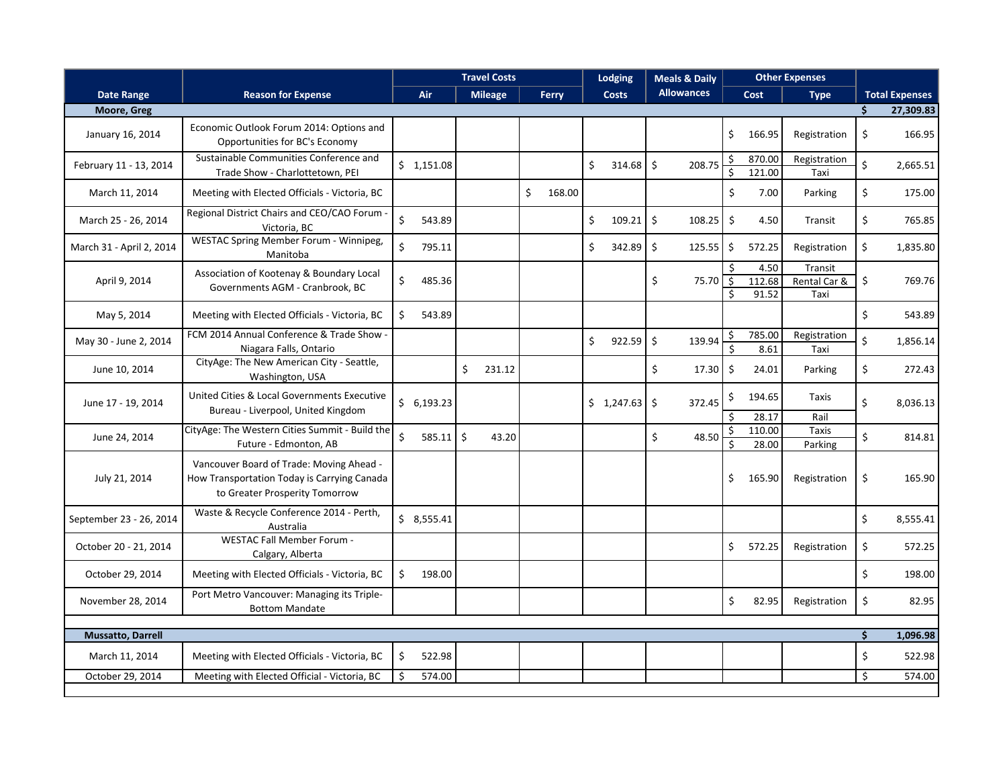|                          |                                                                                                                           | <b>Travel Costs</b>  |             |                |  |              |    | <b>Lodging</b><br><b>Meals &amp; Daily</b> |                     |                   | <b>Other Expenses</b>   |                         |                                 |    |                       |
|--------------------------|---------------------------------------------------------------------------------------------------------------------------|----------------------|-------------|----------------|--|--------------|----|--------------------------------------------|---------------------|-------------------|-------------------------|-------------------------|---------------------------------|----|-----------------------|
| <b>Date Range</b>        | <b>Reason for Expense</b>                                                                                                 |                      | Air         | <b>Mileage</b> |  | Ferry        |    | <b>Costs</b>                               |                     | <b>Allowances</b> |                         | Cost                    | <b>Type</b>                     |    | <b>Total Expenses</b> |
| Moore, Greg              |                                                                                                                           |                      |             |                |  |              |    |                                            |                     |                   |                         |                         |                                 | Ś. | 27,309.83             |
| January 16, 2014         | Economic Outlook Forum 2014: Options and<br>Opportunities for BC's Economy                                                |                      |             |                |  |              |    |                                            |                     |                   | \$                      | 166.95                  | Registration                    | \$ | 166.95                |
| February 11 - 13, 2014   | Sustainable Communities Conference and<br>Trade Show - Charlottetown, PEI                                                 |                      | \$1,151.08  |                |  |              | \$ | 314.68                                     | $\zeta$             | 208.75            | \$<br>\$                | 870.00<br>121.00        | Registration<br>Taxi            | \$ | 2,665.51              |
| March 11, 2014           | Meeting with Elected Officials - Victoria, BC                                                                             |                      |             |                |  | \$<br>168.00 |    |                                            |                     |                   | \$                      | 7.00                    | Parking                         | \$ | 175.00                |
| March 25 - 26, 2014      | Regional District Chairs and CEO/CAO Forum<br>Victoria, BC                                                                | \$                   | 543.89      |                |  |              | \$ | 109.21                                     | $\ddot{\mathsf{S}}$ | 108.25            | \$                      | 4.50                    | Transit                         | \$ | 765.85                |
| March 31 - April 2, 2014 | WESTAC Spring Member Forum - Winnipeg,<br>Manitoba                                                                        | \$                   | 795.11      |                |  |              | \$ | 342.89                                     | $\ddot{\mathsf{S}}$ | 125.55            | \$                      | 572.25                  | Registration                    | \$ | 1,835.80              |
| April 9, 2014            | Association of Kootenay & Boundary Local<br>Governments AGM - Cranbrook, BC                                               | \$                   | 485.36      |                |  |              |    |                                            | \$                  | 75.70             | Ś.<br>$\zeta$<br>Ś.     | 4.50<br>112.68<br>91.52 | Transit<br>Rental Car &<br>Taxi | \$ | 769.76                |
| May 5, 2014              | Meeting with Elected Officials - Victoria, BC                                                                             | \$                   | 543.89      |                |  |              |    |                                            |                     |                   |                         |                         |                                 | \$ | 543.89                |
| May 30 - June 2, 2014    | FCM 2014 Annual Conference & Trade Show -<br>Niagara Falls, Ontario                                                       |                      |             |                |  |              | \$ | 922.59                                     | $\zeta$             | 139.94            | \$<br>\$                | 785.00<br>8.61          | Registration<br>Taxi            | \$ | 1,856.14              |
| June 10, 2014            | CityAge: The New American City - Seattle,<br>Washington, USA                                                              |                      |             | \$<br>231.12   |  |              |    |                                            | \$                  | 17.30             | \$                      | 24.01                   | Parking                         | \$ | 272.43                |
| June 17 - 19, 2014       | United Cities & Local Governments Executive<br>Bureau - Liverpool, United Kingdom                                         |                      | \$6,193.23  |                |  |              |    | \$1,247.63                                 | -\$                 | 372.45            | \$<br>Ŝ.                | 194.65<br>28.17         | Taxis<br>Rail                   | \$ | 8,036.13              |
| June 24, 2014            | CityAge: The Western Cities Summit - Build the<br>Future - Edmonton, AB                                                   | $\boldsymbol{\zeta}$ | $585.11$ \$ | 43.20          |  |              |    |                                            | \$                  | 48.50             | $\overline{\mathsf{S}}$ | 110.00<br>28.00         | <b>Taxis</b><br>Parking         | \$ | 814.81                |
| July 21, 2014            | Vancouver Board of Trade: Moving Ahead -<br>How Transportation Today is Carrying Canada<br>to Greater Prosperity Tomorrow |                      |             |                |  |              |    |                                            |                     |                   | \$                      | 165.90                  | Registration                    | \$ | 165.90                |
| September 23 - 26, 2014  | Waste & Recycle Conference 2014 - Perth,<br>Australia                                                                     |                      | \$8,555.41  |                |  |              |    |                                            |                     |                   |                         |                         |                                 | \$ | 8,555.41              |
| October 20 - 21, 2014    | <b>WESTAC Fall Member Forum -</b><br>Calgary, Alberta                                                                     |                      |             |                |  |              |    |                                            |                     |                   | \$                      | 572.25                  | Registration                    | \$ | 572.25                |
| October 29, 2014         | Meeting with Elected Officials - Victoria, BC                                                                             | \$                   | 198.00      |                |  |              |    |                                            |                     |                   |                         |                         |                                 | \$ | 198.00                |
| November 28, 2014        | Port Metro Vancouver: Managing its Triple-<br><b>Bottom Mandate</b>                                                       |                      |             |                |  |              |    |                                            |                     |                   | \$                      | 82.95                   | Registration                    | \$ | 82.95                 |
| <b>Mussatto, Darrell</b> |                                                                                                                           |                      |             |                |  |              |    |                                            |                     |                   |                         |                         |                                 | \$ | 1,096.98              |
| March 11, 2014           | Meeting with Elected Officials - Victoria, BC                                                                             | \$                   | 522.98      |                |  |              |    |                                            |                     |                   |                         |                         |                                 | \$ | 522.98                |
| October 29, 2014         | Meeting with Elected Official - Victoria, BC                                                                              | Š.                   | 574.00      |                |  |              |    |                                            |                     |                   |                         |                         |                                 | \$ | 574.00                |